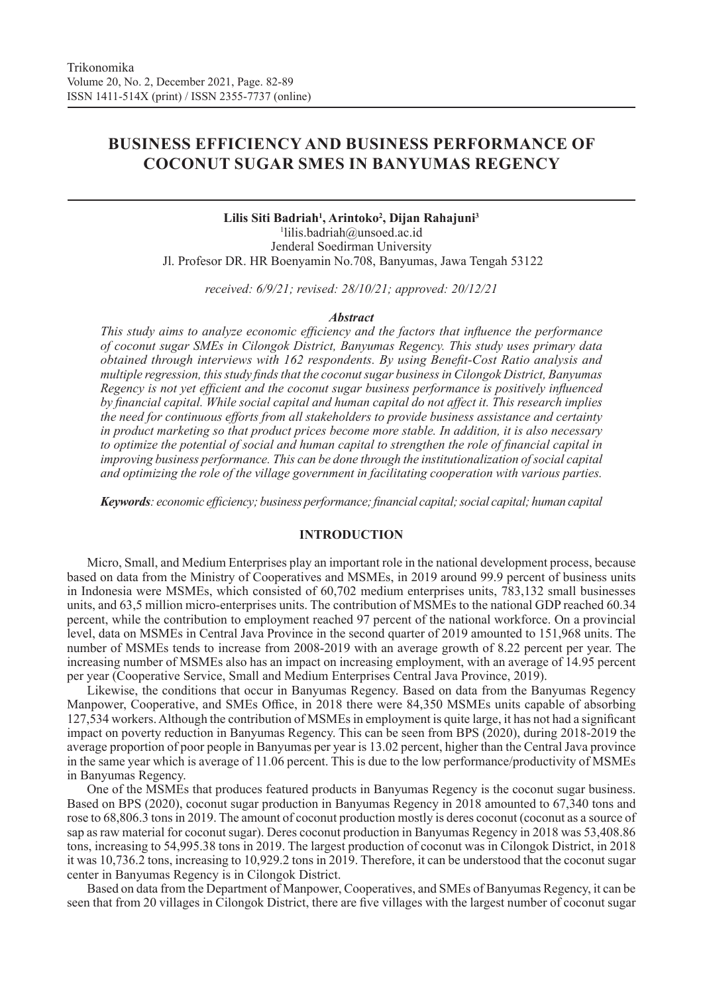# **BUSINESS EFFICIENCY AND BUSINESS PERFORMANCE OF COCONUT SUGAR SMES IN BANYUMAS REGENCY**

# **Lilis Siti Badriah1 , Arintoko2 , Dijan Rahajuni3** 1 lilis.badriah@unsoed.ac.id Jenderal Soedirman University Jl. Profesor DR. HR Boenyamin No.708, Banyumas, Jawa Tengah 53122

*received: 6/9/21; revised: 28/10/21; approved: 20/12/21*

#### *Abstract*

*This study aims to analyze economic efficiency and the factors that influence the performance of coconut sugar SMEs in Cilongok District, Banyumas Regency. This study uses primary data obtained through interviews with 162 respondents. By using Benefit-Cost Ratio analysis and multiple regression, this study finds that the coconut sugar business in Cilongok District, Banyumas Regency is not yet efficient and the coconut sugar business performance is positively influenced by financial capital. While social capital and human capital do not affect it. This research implies the need for continuous efforts from all stakeholders to provide business assistance and certainty in product marketing so that product prices become more stable. In addition, it is also necessary to optimize the potential of social and human capital to strengthen the role of financial capital in improving business performance. This can be done through the institutionalization of social capital and optimizing the role of the village government in facilitating cooperation with various parties.* 

*Keywords: economic efficiency; business performance; financial capital; social capital; human capital*

# **INTRODUCTION**

Micro, Small, and Medium Enterprises play an important role in the national development process, because based on data from the Ministry of Cooperatives and MSMEs, in 2019 around 99.9 percent of business units in Indonesia were MSMEs, which consisted of 60,702 medium enterprises units, 783,132 small businesses units, and 63,5 million micro-enterprises units. The contribution of MSMEs to the national GDP reached 60.34 percent, while the contribution to employment reached 97 percent of the national workforce. On a provincial level, data on MSMEs in Central Java Province in the second quarter of 2019 amounted to 151,968 units. The number of MSMEs tends to increase from 2008-2019 with an average growth of 8.22 percent per year. The increasing number of MSMEs also has an impact on increasing employment, with an average of 14.95 percent per year (Cooperative Service, Small and Medium Enterprises Central Java Province, 2019).

Likewise, the conditions that occur in Banyumas Regency. Based on data from the Banyumas Regency Manpower, Cooperative, and SMEs Office, in 2018 there were 84,350 MSMEs units capable of absorbing 127,534 workers. Although the contribution of MSMEs in employment is quite large, it has not had a significant impact on poverty reduction in Banyumas Regency. This can be seen from BPS (2020), during 2018-2019 the average proportion of poor people in Banyumas per year is 13.02 percent, higher than the Central Java province in the same year which is average of 11.06 percent. This is due to the low performance/productivity of MSMEs in Banyumas Regency.

One of the MSMEs that produces featured products in Banyumas Regency is the coconut sugar business. Based on BPS (2020), coconut sugar production in Banyumas Regency in 2018 amounted to 67,340 tons and rose to 68,806.3 tons in 2019. The amount of coconut production mostly is deres coconut (coconut as a source of sap as raw material for coconut sugar). Deres coconut production in Banyumas Regency in 2018 was 53,408.86 tons, increasing to 54,995.38 tons in 2019. The largest production of coconut was in Cilongok District, in 2018 it was 10,736.2 tons, increasing to 10,929.2 tons in 2019. Therefore, it can be understood that the coconut sugar center in Banyumas Regency is in Cilongok District.

Based on data from the Department of Manpower, Cooperatives, and SMEs of Banyumas Regency, it can be seen that from 20 villages in Cilongok District, there are five villages with the largest number of coconut sugar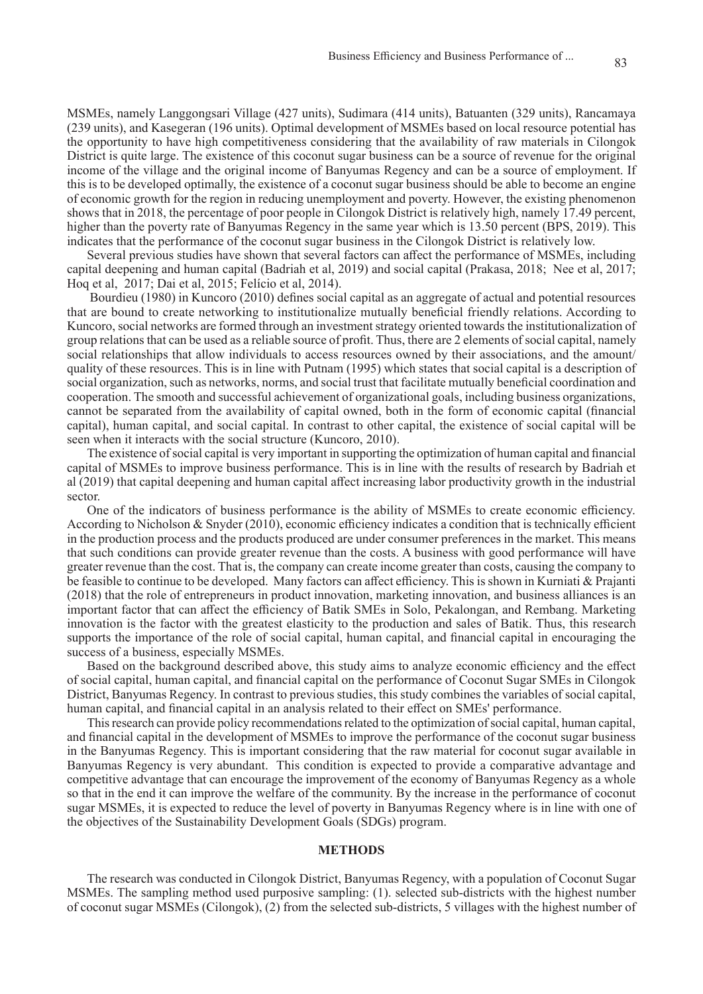MSMEs, namely Langgongsari Village (427 units), Sudimara (414 units), Batuanten (329 units), Rancamaya (239 units), and Kasegeran (196 units). Optimal development of MSMEs based on local resource potential has the opportunity to have high competitiveness considering that the availability of raw materials in Cilongok District is quite large. The existence of this coconut sugar business can be a source of revenue for the original income of the village and the original income of Banyumas Regency and can be a source of employment. If this is to be developed optimally, the existence of a coconut sugar business should be able to become an engine of economic growth for the region in reducing unemployment and poverty. However, the existing phenomenon shows that in 2018, the percentage of poor people in Cilongok District is relatively high, namely 17.49 percent, higher than the poverty rate of Banyumas Regency in the same year which is 13.50 percent (BPS, 2019). This indicates that the performance of the coconut sugar business in the Cilongok District is relatively low.

Several previous studies have shown that several factors can affect the performance of MSMEs, including capital deepening and human capital (Badriah et al, 2019) and social capital (Prakasa, 2018; Nee et al, 2017; Hoq et al, 2017; Dai et al, 2015; Felício et al, 2014).

 Bourdieu (1980) in Kuncoro (2010) defines social capital as an aggregate of actual and potential resources that are bound to create networking to institutionalize mutually beneficial friendly relations. According to Kuncoro, social networks are formed through an investment strategy oriented towards the institutionalization of group relations that can be used as a reliable source of profit. Thus, there are 2 elements of social capital, namely social relationships that allow individuals to access resources owned by their associations, and the amount/ quality of these resources. This is in line with Putnam (1995) which states that social capital is a description of social organization, such as networks, norms, and social trust that facilitate mutually beneficial coordination and cooperation. The smooth and successful achievement of organizational goals, including business organizations, cannot be separated from the availability of capital owned, both in the form of economic capital (financial capital), human capital, and social capital. In contrast to other capital, the existence of social capital will be seen when it interacts with the social structure (Kuncoro, 2010).

The existence of social capital is very important in supporting the optimization of human capital and financial capital of MSMEs to improve business performance. This is in line with the results of research by Badriah et al (2019) that capital deepening and human capital affect increasing labor productivity growth in the industrial sector.

One of the indicators of business performance is the ability of MSMEs to create economic efficiency. According to Nicholson & Snyder (2010), economic efficiency indicates a condition that is technically efficient in the production process and the products produced are under consumer preferences in the market. This means that such conditions can provide greater revenue than the costs. A business with good performance will have greater revenue than the cost. That is, the company can create income greater than costs, causing the company to be feasible to continue to be developed. Many factors can affect efficiency. This is shown in Kurniati & Prajanti (2018) that the role of entrepreneurs in product innovation, marketing innovation, and business alliances is an important factor that can affect the efficiency of Batik SMEs in Solo, Pekalongan, and Rembang. Marketing innovation is the factor with the greatest elasticity to the production and sales of Batik. Thus, this research supports the importance of the role of social capital, human capital, and financial capital in encouraging the success of a business, especially MSMEs.

Based on the background described above, this study aims to analyze economic efficiency and the effect of social capital, human capital, and financial capital on the performance of Coconut Sugar SMEs in Cilongok District, Banyumas Regency. In contrast to previous studies, this study combines the variables of social capital, human capital, and financial capital in an analysis related to their effect on SMEs' performance.

This research can provide policy recommendations related to the optimization of social capital, human capital, and financial capital in the development of MSMEs to improve the performance of the coconut sugar business in the Banyumas Regency. This is important considering that the raw material for coconut sugar available in Banyumas Regency is very abundant. This condition is expected to provide a comparative advantage and competitive advantage that can encourage the improvement of the economy of Banyumas Regency as a whole so that in the end it can improve the welfare of the community. By the increase in the performance of coconut sugar MSMEs, it is expected to reduce the level of poverty in Banyumas Regency where is in line with one of the objectives of the Sustainability Development Goals (SDGs) program.

#### **METHODS**

The research was conducted in Cilongok District, Banyumas Regency, with a population of Coconut Sugar MSMEs. The sampling method used purposive sampling: (1). selected sub-districts with the highest number of coconut sugar MSMEs (Cilongok), (2) from the selected sub-districts, 5 villages with the highest number of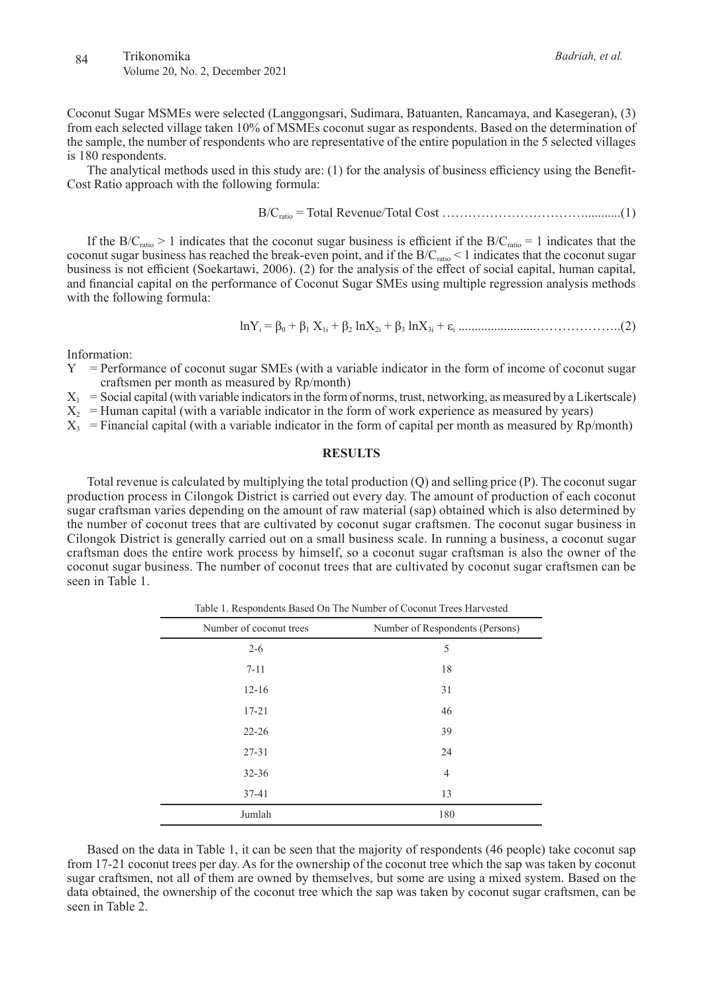Coconut Sugar MSMEs were selected (Langgongsari, Sudimara, Batuanten, Rancamaya, and Kasegeran), (3) from each selected village taken 10% of MSMEs coconut sugar as respondents. Based on the determination of the sample, the number of respondents who are representative of the entire population in the 5 selected villages

The analytical methods used in this study are: (1) for the analysis of business efficiency using the Benefit-Cost Ratio approach with the following formula:

$$
B/C_{ratio} = Total Revenue/Total Cost
$$
.................(1)

If the B/C<sub>ratio</sub> > 1 indicates that the coconut sugar business is efficient if the B/C<sub>ratio</sub> = 1 indicates that the coconut sugar business has reached the break-even point, and if the  $B/C_{ratio}$  < 1 indicates that the coconut sugar business is not efficient (Soekartawi, 2006). (2) for the analysis of the effect of social capital, human capital, and financial capital on the performance of Coconut Sugar SMEs using multiple regression analysis methods with the following formula:

$$
ln Y_i = \beta_0 + \beta_1 X_{1i} + \beta_2 ln X_{2i} + \beta_3 ln X_{3i} + \varepsilon_i
$$
.................(2)

Information:

is 180 respondents.

- Y = Performance of coconut sugar SMEs (with a variable indicator in the form of income of coconut sugar craftsmen per month as measured by Rp/month)
- $X_1$  = Social capital (with variable indicators in the form of norms, trust, networking, as measured by a Likertscale)
- $X_2$  = Human capital (with a variable indicator in the form of work experience as measured by years)
- $X_3$  = Financial capital (with a variable indicator in the form of capital per month as measured by Rp/month)

#### **RESULTS**

Total revenue is calculated by multiplying the total production (Q) and selling price (P). The coconut sugar production process in Cilongok District is carried out every day. The amount of production of each coconut sugar craftsman varies depending on the amount of raw material (sap) obtained which is also determined by the number of coconut trees that are cultivated by coconut sugar craftsmen. The coconut sugar business in Cilongok District is generally carried out on a small business scale. In running a business, a coconut sugar craftsman does the entire work process by himself, so a coconut sugar craftsman is also the owner of the coconut sugar business. The number of coconut trees that are cultivated by coconut sugar craftsmen can be seen in Table 1.

Table 1. Respondents Based On The Number of Coconut Trees Harvested Number of coconut trees Number of Respondents (Persons)  $2-6$  5  $7-11$  18 12-16 31 17-21 46 22-26 39 27-31 24 32-36 4 37-41 13 Jumlah 180

Based on the data in Table 1, it can be seen that the majority of respondents (46 people) take coconut sap from 17-21 coconut trees per day. As for the ownership of the coconut tree which the sap was taken by coconut sugar craftsmen, not all of them are owned by themselves, but some are using a mixed system. Based on the data obtained, the ownership of the coconut tree which the sap was taken by coconut sugar craftsmen, can be seen in Table 2.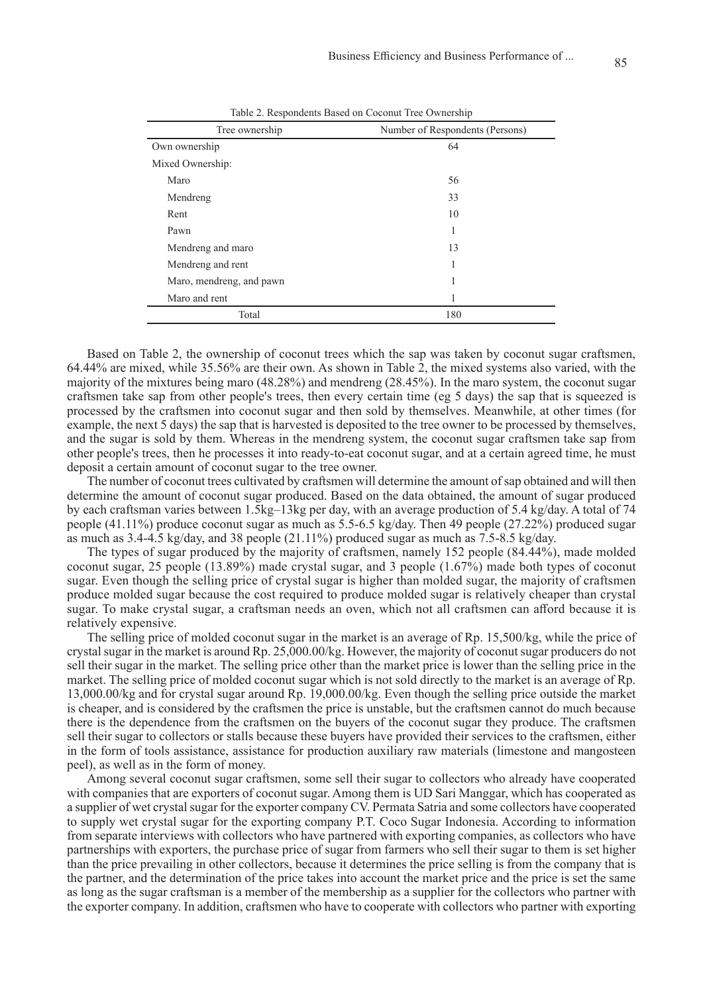| Tree ownership           | Number of Respondents (Persons) |
|--------------------------|---------------------------------|
| Own ownership            | 64                              |
| Mixed Ownership:         |                                 |
| Maro                     | 56                              |
| Mendreng                 | 33                              |
| Rent                     | 10                              |
| Pawn                     | 1                               |
| Mendreng and maro        | 13                              |
| Mendreng and rent        | 1                               |
| Maro, mendreng, and pawn | 1                               |
| Maro and rent            | 1                               |
| Total                    | 180                             |

Table 2. Respondents Based on Coconut Tree Ownership

Based on Table 2, the ownership of coconut trees which the sap was taken by coconut sugar craftsmen, 64.44% are mixed, while 35.56% are their own. As shown in Table 2, the mixed systems also varied, with the majority of the mixtures being maro (48.28%) and mendreng (28.45%). In the maro system, the coconut sugar craftsmen take sap from other people's trees, then every certain time (eg 5 days) the sap that is squeezed is processed by the craftsmen into coconut sugar and then sold by themselves. Meanwhile, at other times (for example, the next 5 days) the sap that is harvested is deposited to the tree owner to be processed by themselves, and the sugar is sold by them. Whereas in the mendreng system, the coconut sugar craftsmen take sap from other people's trees, then he processes it into ready-to-eat coconut sugar, and at a certain agreed time, he must deposit a certain amount of coconut sugar to the tree owner.

The number of coconut trees cultivated by craftsmen will determine the amount of sap obtained and will then determine the amount of coconut sugar produced. Based on the data obtained, the amount of sugar produced by each craftsman varies between 1.5kg–13kg per day, with an average production of 5.4 kg/day. A total of 74 people (41.11%) produce coconut sugar as much as 5.5-6.5 kg/day. Then 49 people (27.22%) produced sugar as much as  $3.4-4.5$  kg/day, and  $38$  people (21.11%) produced sugar as much as  $7.5-8.5$  kg/day.

The types of sugar produced by the majority of craftsmen, namely 152 people (84.44%), made molded coconut sugar, 25 people (13.89%) made crystal sugar, and 3 people (1.67%) made both types of coconut sugar. Even though the selling price of crystal sugar is higher than molded sugar, the majority of craftsmen produce molded sugar because the cost required to produce molded sugar is relatively cheaper than crystal sugar. To make crystal sugar, a craftsman needs an oven, which not all craftsmen can afford because it is relatively expensive.

The selling price of molded coconut sugar in the market is an average of Rp. 15,500/kg, while the price of crystal sugar in the market is around Rp. 25,000.00/kg. However, the majority of coconut sugar producers do not sell their sugar in the market. The selling price other than the market price is lower than the selling price in the market. The selling price of molded coconut sugar which is not sold directly to the market is an average of Rp. 13,000.00/kg and for crystal sugar around Rp. 19,000.00/kg. Even though the selling price outside the market is cheaper, and is considered by the craftsmen the price is unstable, but the craftsmen cannot do much because there is the dependence from the craftsmen on the buyers of the coconut sugar they produce. The craftsmen sell their sugar to collectors or stalls because these buyers have provided their services to the craftsmen, either in the form of tools assistance, assistance for production auxiliary raw materials (limestone and mangosteen peel), as well as in the form of money.

Among several coconut sugar craftsmen, some sell their sugar to collectors who already have cooperated with companies that are exporters of coconut sugar. Among them is UD Sari Manggar, which has cooperated as a supplier of wet crystal sugar for the exporter company CV. Permata Satria and some collectors have cooperated to supply wet crystal sugar for the exporting company P.T. Coco Sugar Indonesia. According to information from separate interviews with collectors who have partnered with exporting companies, as collectors who have partnerships with exporters, the purchase price of sugar from farmers who sell their sugar to them is set higher than the price prevailing in other collectors, because it determines the price selling is from the company that is the partner, and the determination of the price takes into account the market price and the price is set the same as long as the sugar craftsman is a member of the membership as a supplier for the collectors who partner with the exporter company. In addition, craftsmen who have to cooperate with collectors who partner with exporting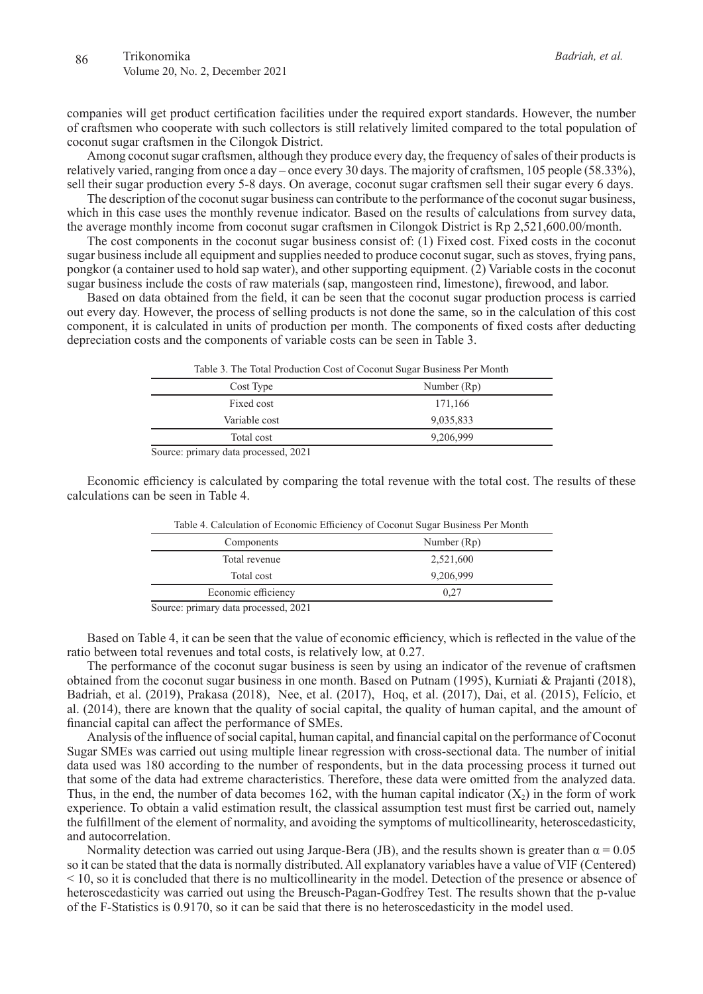companies will get product certification facilities under the required export standards. However, the number of craftsmen who cooperate with such collectors is still relatively limited compared to the total population of coconut sugar craftsmen in the Cilongok District.

Among coconut sugar craftsmen, although they produce every day, the frequency of sales of their products is relatively varied, ranging from once a day – once every 30 days. The majority of craftsmen, 105 people (58.33%), sell their sugar production every 5-8 days. On average, coconut sugar craftsmen sell their sugar every 6 days.

The description of the coconut sugar business can contribute to the performance of the coconut sugar business, which in this case uses the monthly revenue indicator. Based on the results of calculations from survey data, the average monthly income from coconut sugar craftsmen in Cilongok District is Rp 2,521,600.00/month.

The cost components in the coconut sugar business consist of: (1) Fixed cost. Fixed costs in the coconut sugar business include all equipment and supplies needed to produce coconut sugar, such as stoves, frying pans, pongkor (a container used to hold sap water), and other supporting equipment. (2) Variable costs in the coconut sugar business include the costs of raw materials (sap, mangosteen rind, limestone), firewood, and labor.

Based on data obtained from the field, it can be seen that the coconut sugar production process is carried out every day. However, the process of selling products is not done the same, so in the calculation of this cost component, it is calculated in units of production per month. The components of fixed costs after deducting depreciation costs and the components of variable costs can be seen in Table 3.

| Table 3. The Total Production Cost of Coconut Sugar Business Per Month        |             |  |  |
|-------------------------------------------------------------------------------|-------------|--|--|
| Cost Type                                                                     | Number (Rp) |  |  |
| Fixed cost                                                                    | 171,166     |  |  |
| Variable cost                                                                 | 9,035,833   |  |  |
| Total cost                                                                    | 9,206,999   |  |  |
| $\mathcal{S}_{\alpha\mu\nu\alpha\alpha\lambda}$ primery data processed $2021$ |             |  |  |

Source: primary data processed, 2021

Economic efficiency is calculated by comparing the total revenue with the total cost. The results of these calculations can be seen in Table 4.

| Table 4. Calculation of Economic Emercity of Coconut Sugar Business Fernviolity |  |  |
|---------------------------------------------------------------------------------|--|--|
| Number (Rp)                                                                     |  |  |
| 2,521,600                                                                       |  |  |
| 9,206,999                                                                       |  |  |
| 0.27                                                                            |  |  |
|                                                                                 |  |  |

Table 4. Calculation of Economic Efficiency of Coconut Sugar Business Per Month

Source: primary data processed, 2021

Based on Table 4, it can be seen that the value of economic efficiency, which is reflected in the value of the ratio between total revenues and total costs, is relatively low, at 0.27.

The performance of the coconut sugar business is seen by using an indicator of the revenue of craftsmen obtained from the coconut sugar business in one month. Based on Putnam (1995), Kurniati & Prajanti (2018), Badriah, et al. (2019), Prakasa (2018), Nee, et al. (2017), Hoq, et al. (2017), Dai, et al. (2015), Felício, et al. (2014), there are known that the quality of social capital, the quality of human capital, and the amount of financial capital can affect the performance of SMEs.

Analysis of the influence of social capital, human capital, and financial capital on the performance of Coconut Sugar SMEs was carried out using multiple linear regression with cross-sectional data. The number of initial data used was 180 according to the number of respondents, but in the data processing process it turned out that some of the data had extreme characteristics. Therefore, these data were omitted from the analyzed data. Thus, in the end, the number of data becomes 162, with the human capital indicator  $(X_2)$  in the form of work experience. To obtain a valid estimation result, the classical assumption test must first be carried out, namely the fulfillment of the element of normality, and avoiding the symptoms of multicollinearity, heteroscedasticity, and autocorrelation.

Normality detection was carried out using Jarque-Bera (JB), and the results shown is greater than  $\alpha = 0.05$ so it can be stated that the data is normally distributed. All explanatory variables have a value of VIF (Centered) < 10, so it is concluded that there is no multicollinearity in the model. Detection of the presence or absence of heteroscedasticity was carried out using the Breusch-Pagan-Godfrey Test. The results shown that the p-value of the F-Statistics is 0.9170, so it can be said that there is no heteroscedasticity in the model used.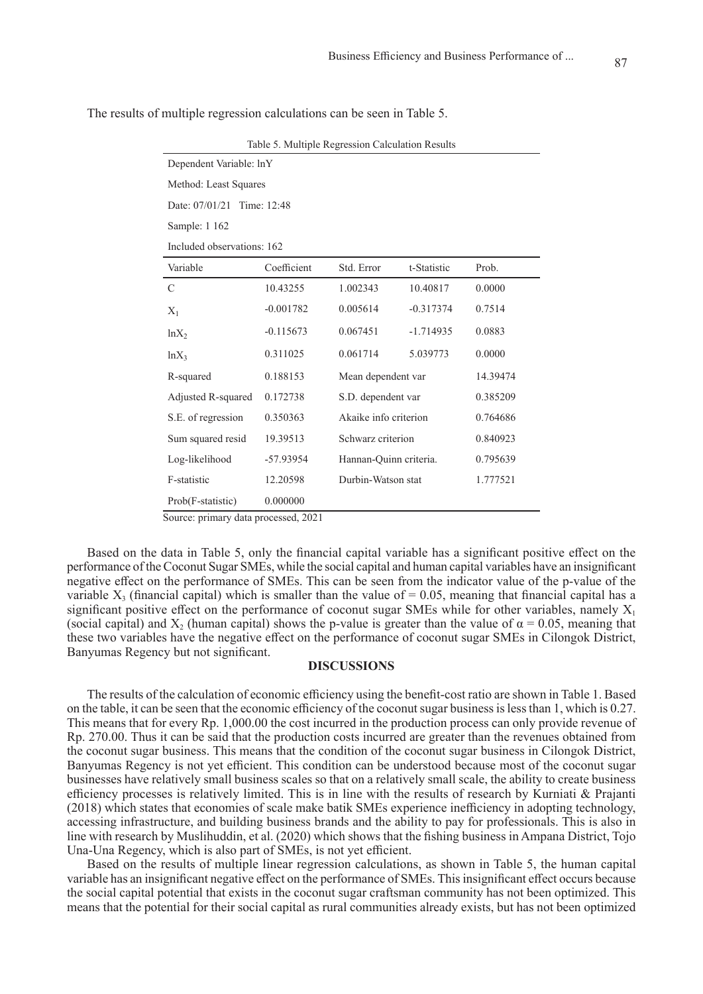| Table 9. Multiple Regression Calculation Results |             |                        |             |          |  |  |
|--------------------------------------------------|-------------|------------------------|-------------|----------|--|--|
| Dependent Variable: lnY                          |             |                        |             |          |  |  |
| Method: Least Squares                            |             |                        |             |          |  |  |
| Date: 07/01/21<br>Time: 12:48                    |             |                        |             |          |  |  |
| Sample: 1 162                                    |             |                        |             |          |  |  |
| Included observations: 162                       |             |                        |             |          |  |  |
| Variable                                         | Coefficient | Std. Error             | t-Statistic | Prob.    |  |  |
| C                                                | 10.43255    | 1.002343               | 10.40817    | 0.0000   |  |  |
| $X_1$                                            | $-0.001782$ | 0.005614               | $-0.317374$ | 0.7514   |  |  |
| $ln X_2$                                         | $-0.115673$ | 0.067451               | $-1.714935$ | 0.0883   |  |  |
| $ln X_3$                                         | 0.311025    | 0.061714               | 5.039773    | 0.0000   |  |  |
| R-squared                                        | 0.188153    | Mean dependent var     |             | 14.39474 |  |  |
| Adjusted R-squared                               | 0.172738    | S.D. dependent var     |             | 0.385209 |  |  |
| S.E. of regression                               | 0.350363    | Akaike info criterion  |             | 0.764686 |  |  |
| Sum squared resid                                | 19.39513    | Schwarz criterion      |             | 0.840923 |  |  |
| Log-likelihood                                   | -57.93954   | Hannan-Quinn criteria. |             | 0.795639 |  |  |
| F-statistic                                      | 12.20598    | Durbin-Watson stat     |             | 1.777521 |  |  |
| Prob(F-statistic)                                | 0.000000    |                        |             |          |  |  |

The results of multiple regression calculations can be seen in Table 5.

Table 5. Multiple Regression Calculation Results

Source: primary data processed, 2021

Based on the data in Table 5, only the financial capital variable has a significant positive effect on the performance of the Coconut Sugar SMEs, while the social capital and human capital variables have an insignificant negative effect on the performance of SMEs. This can be seen from the indicator value of the p-value of the variable  $X_3$  (financial capital) which is smaller than the value of = 0.05, meaning that financial capital has a significant positive effect on the performance of coconut sugar SMEs while for other variables, namely  $X_1$ (social capital) and  $X_2$  (human capital) shows the p-value is greater than the value of  $\alpha = 0.05$ , meaning that these two variables have the negative effect on the performance of coconut sugar SMEs in Cilongok District, Banyumas Regency but not significant.

#### **DISCUSSIONS**

The results of the calculation of economic efficiency using the benefit-cost ratio are shown in Table 1. Based on the table, it can be seen that the economic efficiency of the coconut sugar business is less than 1, which is 0.27. This means that for every Rp. 1,000.00 the cost incurred in the production process can only provide revenue of Rp. 270.00. Thus it can be said that the production costs incurred are greater than the revenues obtained from the coconut sugar business. This means that the condition of the coconut sugar business in Cilongok District, Banyumas Regency is not yet efficient. This condition can be understood because most of the coconut sugar businesses have relatively small business scales so that on a relatively small scale, the ability to create business efficiency processes is relatively limited. This is in line with the results of research by Kurniati & Prajanti (2018) which states that economies of scale make batik SMEs experience inefficiency in adopting technology, accessing infrastructure, and building business brands and the ability to pay for professionals. This is also in line with research by Muslihuddin, et al. (2020) which shows that the fishing business in Ampana District, Tojo Una-Una Regency, which is also part of SMEs, is not yet efficient.

Based on the results of multiple linear regression calculations, as shown in Table 5, the human capital variable has an insignificant negative effect on the performance of SMEs. This insignificant effect occurs because the social capital potential that exists in the coconut sugar craftsman community has not been optimized. This means that the potential for their social capital as rural communities already exists, but has not been optimized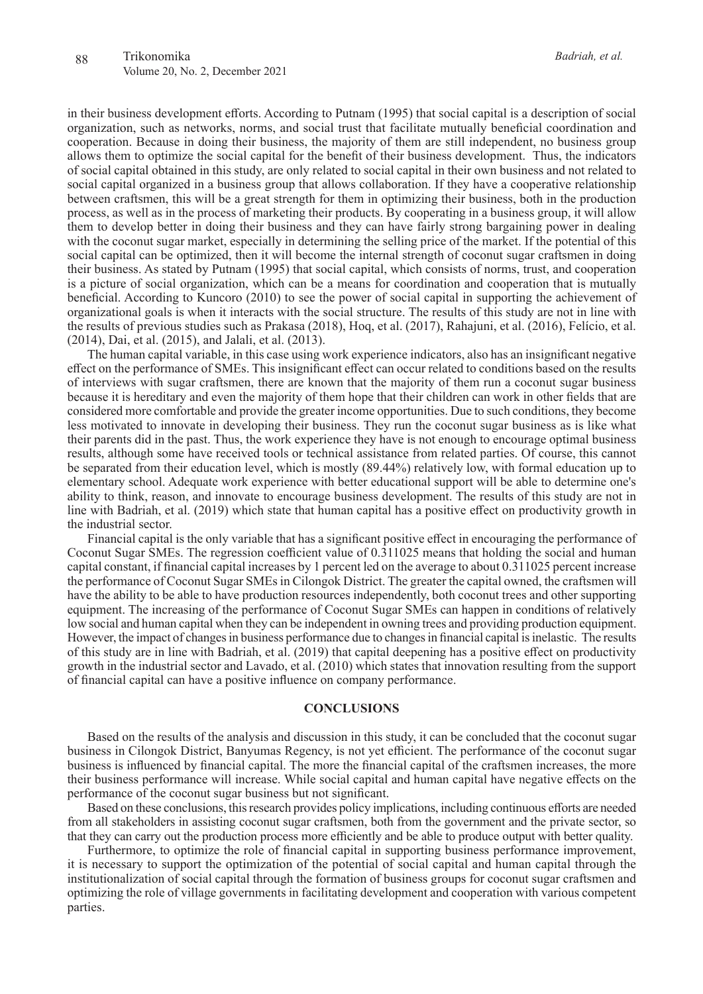in their business development efforts. According to Putnam (1995) that social capital is a description of social organization, such as networks, norms, and social trust that facilitate mutually beneficial coordination and cooperation. Because in doing their business, the majority of them are still independent, no business group allows them to optimize the social capital for the benefit of their business development. Thus, the indicators of social capital obtained in this study, are only related to social capital in their own business and not related to social capital organized in a business group that allows collaboration. If they have a cooperative relationship between craftsmen, this will be a great strength for them in optimizing their business, both in the production process, as well as in the process of marketing their products. By cooperating in a business group, it will allow them to develop better in doing their business and they can have fairly strong bargaining power in dealing with the coconut sugar market, especially in determining the selling price of the market. If the potential of this social capital can be optimized, then it will become the internal strength of coconut sugar craftsmen in doing their business. As stated by Putnam (1995) that social capital, which consists of norms, trust, and cooperation is a picture of social organization, which can be a means for coordination and cooperation that is mutually beneficial. According to Kuncoro (2010) to see the power of social capital in supporting the achievement of organizational goals is when it interacts with the social structure. The results of this study are not in line with the results of previous studies such as Prakasa (2018), Hoq, et al. (2017), Rahajuni, et al. (2016), Felício, et al. (2014), Dai, et al. (2015), and Jalali, et al. (2013).

The human capital variable, in this case using work experience indicators, also has an insignificant negative effect on the performance of SMEs. This insignificant effect can occur related to conditions based on the results of interviews with sugar craftsmen, there are known that the majority of them run a coconut sugar business because it is hereditary and even the majority of them hope that their children can work in other fields that are considered more comfortable and provide the greater income opportunities. Due to such conditions, they become less motivated to innovate in developing their business. They run the coconut sugar business as is like what their parents did in the past. Thus, the work experience they have is not enough to encourage optimal business results, although some have received tools or technical assistance from related parties. Of course, this cannot be separated from their education level, which is mostly (89.44%) relatively low, with formal education up to elementary school. Adequate work experience with better educational support will be able to determine one's ability to think, reason, and innovate to encourage business development. The results of this study are not in line with Badriah, et al. (2019) which state that human capital has a positive effect on productivity growth in the industrial sector.

Financial capital is the only variable that has a significant positive effect in encouraging the performance of Coconut Sugar SMEs. The regression coefficient value of 0.311025 means that holding the social and human capital constant, if financial capital increases by 1 percent led on the average to about 0.311025 percent increase the performance of Coconut Sugar SMEs in Cilongok District. The greater the capital owned, the craftsmen will have the ability to be able to have production resources independently, both coconut trees and other supporting equipment. The increasing of the performance of Coconut Sugar SMEs can happen in conditions of relatively low social and human capital when they can be independent in owning trees and providing production equipment. However, the impact of changes in business performance due to changes in financial capital is inelastic. The results of this study are in line with Badriah, et al. (2019) that capital deepening has a positive effect on productivity growth in the industrial sector and Lavado, et al. (2010) which states that innovation resulting from the support of financial capital can have a positive influence on company performance.

### **CONCLUSIONS**

Based on the results of the analysis and discussion in this study, it can be concluded that the coconut sugar business in Cilongok District, Banyumas Regency, is not yet efficient. The performance of the coconut sugar business is influenced by financial capital. The more the financial capital of the craftsmen increases, the more their business performance will increase. While social capital and human capital have negative effects on the performance of the coconut sugar business but not significant.

Based on these conclusions, this research provides policy implications, including continuous efforts are needed from all stakeholders in assisting coconut sugar craftsmen, both from the government and the private sector, so that they can carry out the production process more efficiently and be able to produce output with better quality.

Furthermore, to optimize the role of financial capital in supporting business performance improvement, it is necessary to support the optimization of the potential of social capital and human capital through the institutionalization of social capital through the formation of business groups for coconut sugar craftsmen and optimizing the role of village governments in facilitating development and cooperation with various competent parties.